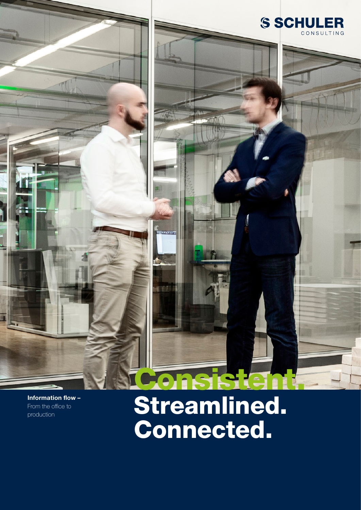

## Consistent. Streamlined. Connected.

- 65

Stand 02/2021 | Technische Änderungen, Druckfehler und Irrtümer vorbehalten.

**S SCHULER** 

CONSULTING